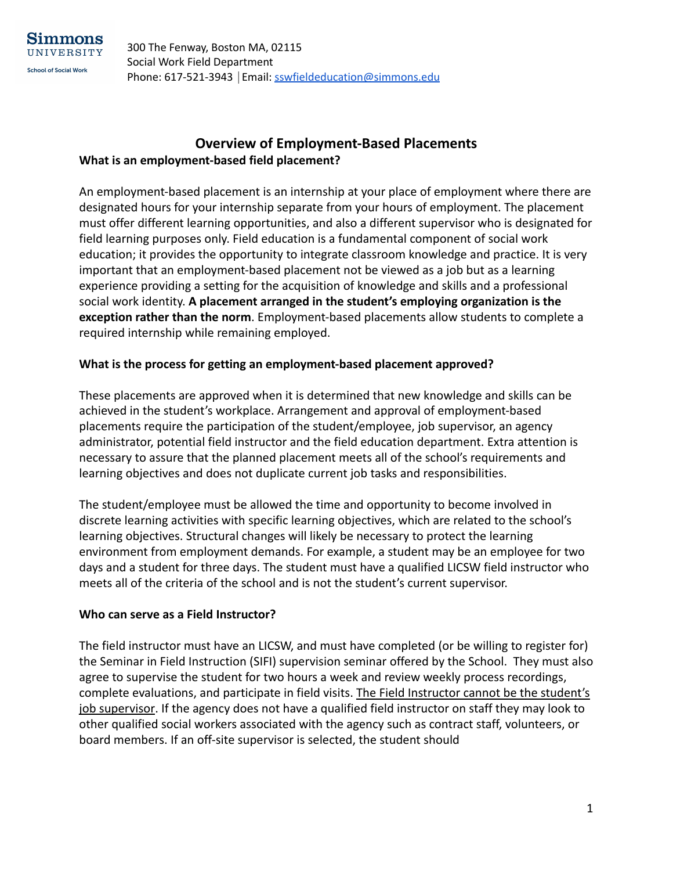## **Overview of Employment-Based Placements What is an employment-based field placement?**

An employment-based placement is an internship at your place of employment where there are designated hours for your internship separate from your hours of employment. The placement must offer different learning opportunities, and also a different supervisor who is designated for field learning purposes only. Field education is a fundamental component of social work education; it provides the opportunity to integrate classroom knowledge and practice. It is very important that an employment-based placement not be viewed as a job but as a learning experience providing a setting for the acquisition of knowledge and skills and a professional social work identity. **A placement arranged in the student's employing organization is the exception rather than the norm**. Employment-based placements allow students to complete a required internship while remaining employed.

## **What is the process for getting an employment-based placement approved?**

These placements are approved when it is determined that new knowledge and skills can be achieved in the student's workplace. Arrangement and approval of employment-based placements require the participation of the student/employee, job supervisor, an agency administrator, potential field instructor and the field education department. Extra attention is necessary to assure that the planned placement meets all of the school's requirements and learning objectives and does not duplicate current job tasks and responsibilities.

The student/employee must be allowed the time and opportunity to become involved in discrete learning activities with specific learning objectives, which are related to the school's learning objectives. Structural changes will likely be necessary to protect the learning environment from employment demands. For example, a student may be an employee for two days and a student for three days. The student must have a qualified LICSW field instructor who meets all of the criteria of the school and is not the student's current supervisor.

## **Who can serve as a Field Instructor?**

The field instructor must have an LICSW, and must have completed (or be willing to register for) the Seminar in Field Instruction (SIFI) supervision seminar offered by the School. They must also agree to supervise the student for two hours a week and review weekly process recordings, complete evaluations, and participate in field visits. The Field Instructor cannot be the student's job supervisor. If the agency does not have a qualified field instructor on staff they may look to other qualified social workers associated with the agency such as contract staff, volunteers, or board members. If an off-site supervisor is selected, the student should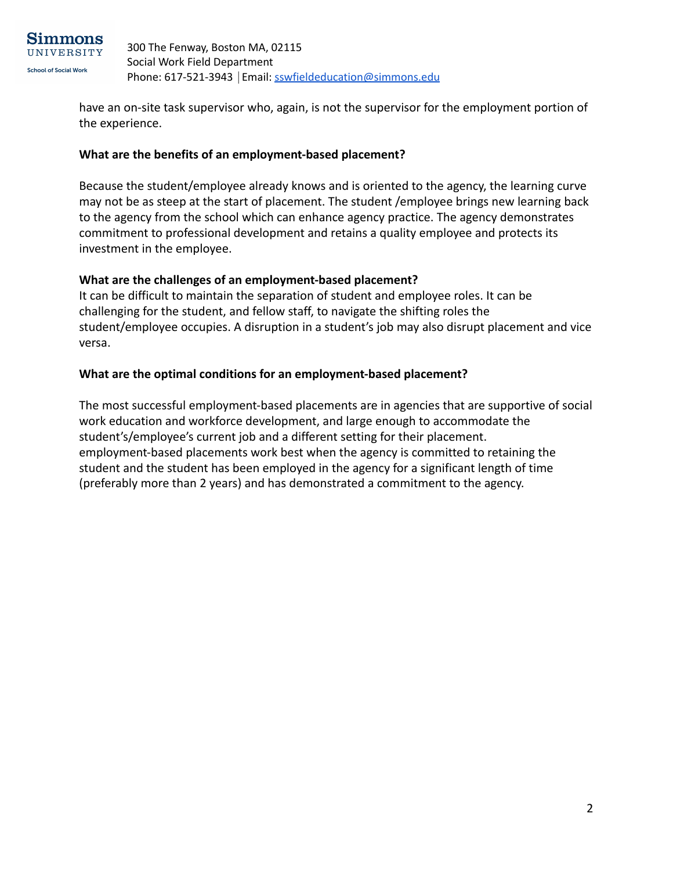

have an on-site task supervisor who, again, is not the supervisor for the employment portion of the experience.

#### **What are the benefits of an employment-based placement?**

Because the student/employee already knows and is oriented to the agency, the learning curve may not be as steep at the start of placement. The student /employee brings new learning back to the agency from the school which can enhance agency practice. The agency demonstrates commitment to professional development and retains a quality employee and protects its investment in the employee.

#### **What are the challenges of an employment-based placement?**

It can be difficult to maintain the separation of student and employee roles. It can be challenging for the student, and fellow staff, to navigate the shifting roles the student/employee occupies. A disruption in a student's job may also disrupt placement and vice versa.

#### **What are the optimal conditions for an employment-based placement?**

The most successful employment-based placements are in agencies that are supportive of social work education and workforce development, and large enough to accommodate the student's/employee's current job and a different setting for their placement. employment-based placements work best when the agency is committed to retaining the student and the student has been employed in the agency for a significant length of time (preferably more than 2 years) and has demonstrated a commitment to the agency.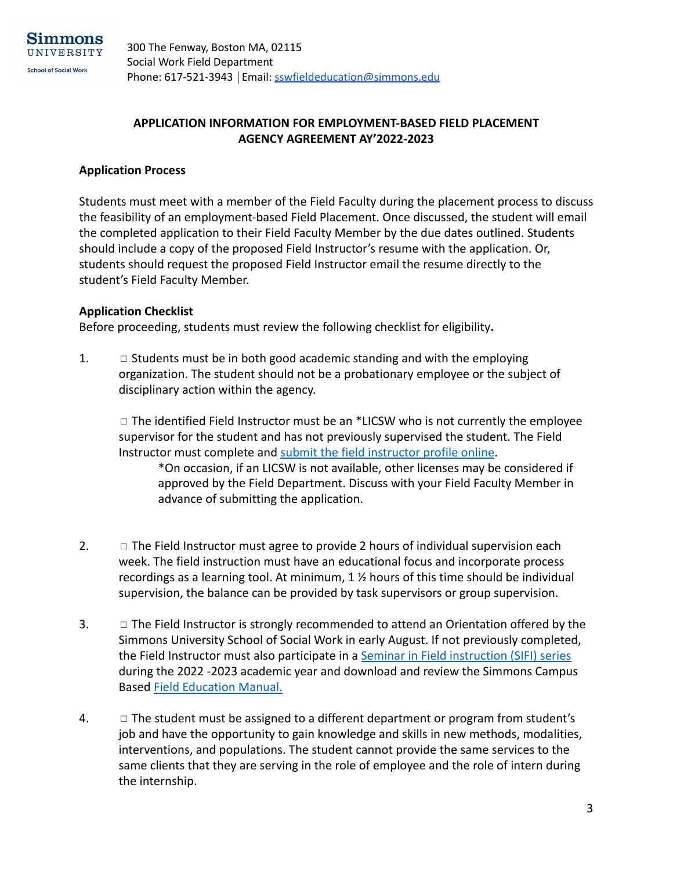

## **APPLICATION INFORMATION FOR EMPLOYMENT-BASED FIELD PLACEMENT AGENCY AGREEMENT AY'2022-2023**

#### **Application Process**

Students must meet with a member of the Field Faculty during the placement process to discuss the feasibility of an employment-based Field Placement. Once discussed, the student will email the completed application to their Field Faculty Member by the due dates outlined. Students should include a copy of the proposed Field Instructor's resume with the application. Or, students should request the proposed Field Instructor email the resume directly to the student's Field Faculty Member.

#### **Application Checklist**

Before proceeding, students must review the following checklist for eligibility**.**

1.  $\Box$  Students must be in both good academic standing and with the employing organization. The student should not be a probationary employee or the subject of disciplinary action within the agency.

 $\Box$  The identified Field Instructor must be an \*LICSW who is not currently the employee supervisor for the student and has not previously supervised the student. The Field Instructor must complete and [submit the field instructor](http://www.simmons.edu/academics/schools-departments/school-of-social-work/field-placements/for-field-agencies) profile online.

\*On occasion, if an LICSW is not available, other licenses may be considered if approved by the Field Department. Discuss with your Field Faculty Member in advance of submitting the application.

- 2.  $\Box$  The Field Instructor must agree to provide 2 hours of individual supervision each week. The field instruction must have an educational focus and incorporate process recordings as a learning tool. At minimum, 1 ½ hours of this time should be individual supervision, the balance can be provided by task supervisors or group supervision.
- 3. □ The Field Instructor is strongly recommended to attend an Orientation offered by the Simmons University School of Social Work in early August. If not previously completed, the Field Instructor must also participate in a Seminar [in Field instruction \(SIFI\) series](http://www.simmons.edu/academics/schools-departments/school-of-social-work/field-placements/for-field-agencies/support-for-field-instructors) during the 2022 -2023 academic year and download and review the Simmons Campus Based [Field Education Manual.](http://internal.simmons.edu/students/ssw/msw-students/field-education/field-education-manual)
- 4.  $\Box$  The student must be assigned to a different department or program from student's job and have the opportunity to gain knowledge and skills in new methods, modalities, interventions, and populations. The student cannot provide the same services to the same clients that they are serving in the role of employee and the role of intern during the internship.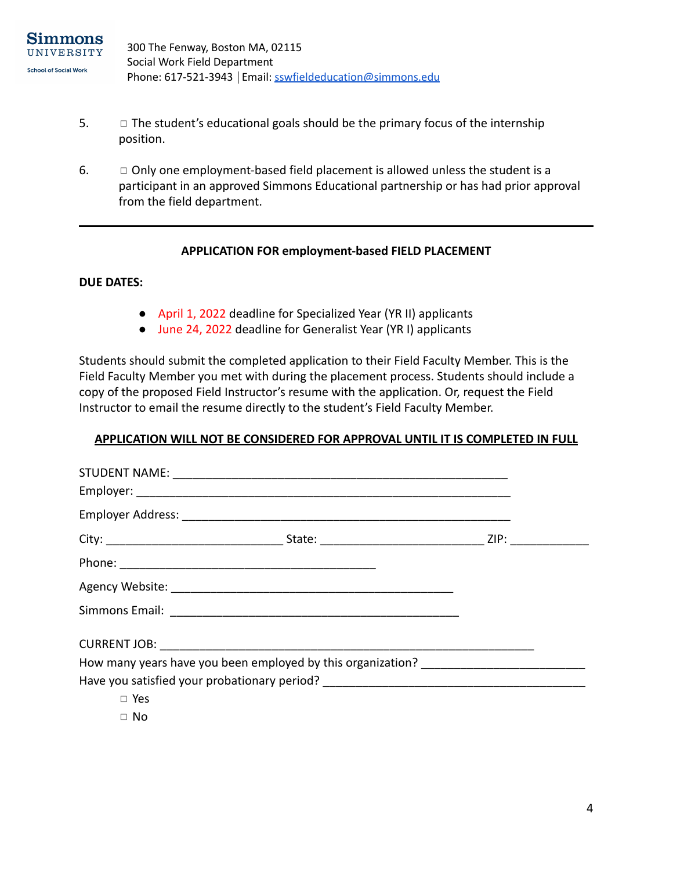- $5.$   $\Box$  The student's educational goals should be the primary focus of the internship position.
- 6.  $\Box$  Only one employment-based field placement is allowed unless the student is a participant in an approved Simmons Educational partnership or has had prior approval from the field department.

#### **APPLICATION FOR employment-based FIELD PLACEMENT**

#### **DUE DATES:**

- April 1, 2022 deadline for Specialized Year (YR II) applicants
- June 24, 2022 deadline for Generalist Year (YR I) applicants

Students should submit the completed application to their Field Faculty Member. This is the Field Faculty Member you met with during the placement process. Students should include a copy of the proposed Field Instructor's resume with the application. Or, request the Field Instructor to email the resume directly to the student's Field Faculty Member.

#### **APPLICATION WILL NOT BE CONSIDERED FOR APPROVAL UNTIL IT IS COMPLETED IN FULL**

|            | How many years have you been employed by this organization? _____________________ |  |
|------------|-----------------------------------------------------------------------------------|--|
|            | Have you satisfied your probationary period? ___________________________________  |  |
| $\Box$ Yes |                                                                                   |  |
| $\Box$ No  |                                                                                   |  |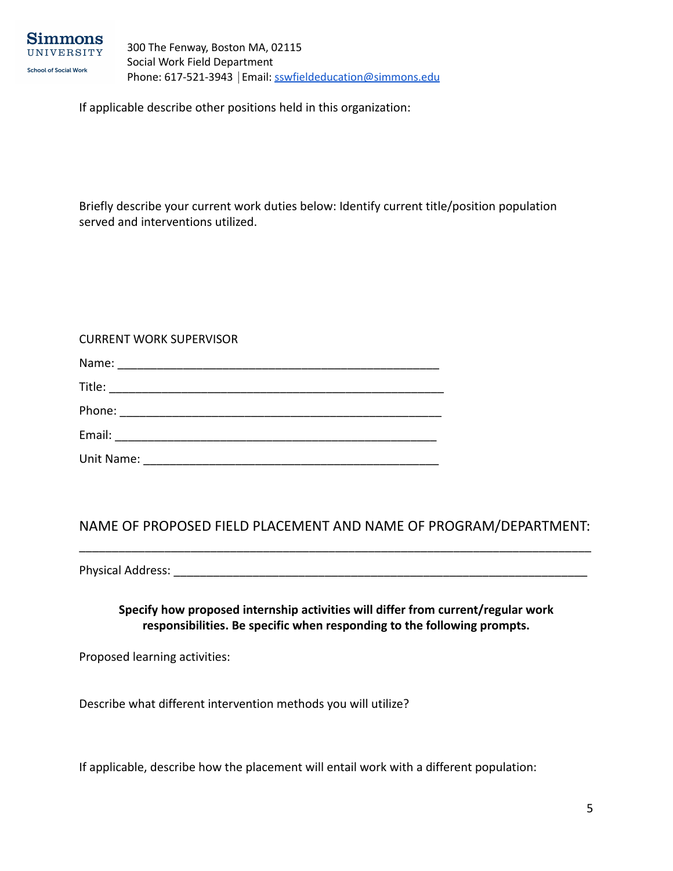

If applicable describe other positions held in this organization:

Briefly describe your current work duties below: Identify current title/position population served and interventions utilized.

#### CURRENT WORK SUPERVISOR

| Title:     |  |  |  |
|------------|--|--|--|
|            |  |  |  |
| Email:     |  |  |  |
| Unit Name: |  |  |  |

## NAME OF PROPOSED FIELD PLACEMENT AND NAME OF PROGRAM/DEPARTMENT: \_\_\_\_\_\_\_\_\_\_\_\_\_\_\_\_\_\_\_\_\_\_\_\_\_\_\_\_\_\_\_\_\_\_\_\_\_\_\_\_\_\_\_\_\_\_\_\_\_\_\_\_\_\_\_\_\_\_\_\_\_\_\_\_\_\_\_\_\_\_\_\_\_\_\_\_\_\_

Physical Address: **with a strategies** of the strategies of the strategies of the strategies of the strategies of the strategies of the strategies of the strategies of the strategies of the strategies of the strategies of t

**Specify how proposed internship activities will differ from current/regular work responsibilities. Be specific when responding to the following prompts.**

Proposed learning activities:

Describe what different intervention methods you will utilize?

If applicable, describe how the placement will entail work with a different population: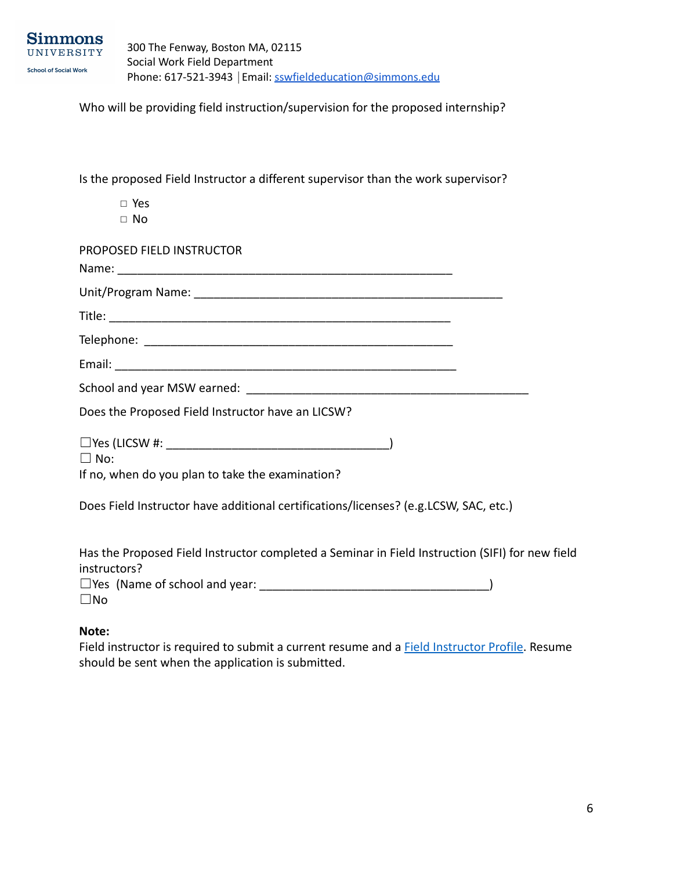Who will be providing field instruction/supervision for the proposed internship?

Is the proposed Field Instructor a different supervisor than the work supervisor?

- ◻ Yes
- ◻ No

| PROPOSED FIELD INSTRUCTOR                                                            |  |
|--------------------------------------------------------------------------------------|--|
|                                                                                      |  |
|                                                                                      |  |
|                                                                                      |  |
|                                                                                      |  |
|                                                                                      |  |
|                                                                                      |  |
| Does the Proposed Field Instructor have an LICSW?                                    |  |
| $\Box$ No:<br>If no, when do you plan to take the examination?                       |  |
| Does Field Instructor have additional certifications/licenses? (e.g.LCSW, SAC, etc.) |  |

Has the Proposed Field Instructor completed a Seminar in Field Instruction (SIFI) for new field instructors?

|              | $\Box$ Yes (Name of school and year: |  |
|--------------|--------------------------------------|--|
| $\square$ No |                                      |  |

#### **Note:**

Field instructor is required to submit a current resume and a **[Field Instructor Profile](https://www.simmons.edu/academics/colleges-schools-departments/schools-departments/ssw/field-placements/field-agencies)**. Resume should be sent when the application is submitted.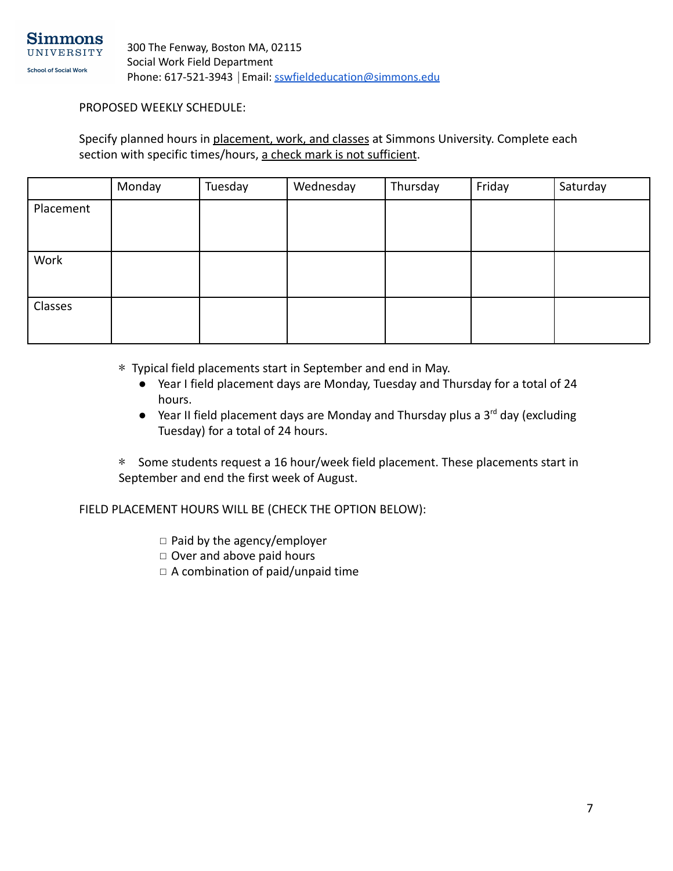

PROPOSED WEEKLY SCHEDULE:

Specify planned hours in placement, work, and classes at Simmons University. Complete each section with specific times/hours, a check mark is not sufficient.

|           | Monday | Tuesday | Wednesday | Thursday | Friday | Saturday |
|-----------|--------|---------|-----------|----------|--------|----------|
| Placement |        |         |           |          |        |          |
|           |        |         |           |          |        |          |
|           |        |         |           |          |        |          |
| Work      |        |         |           |          |        |          |
|           |        |         |           |          |        |          |
|           |        |         |           |          |        |          |
| Classes   |        |         |           |          |        |          |
|           |        |         |           |          |        |          |
|           |        |         |           |          |        |          |

\* Typical field placements start in September and end in May.

- Year I field placement days are Monday, Tuesday and Thursday for a total of 24 hours.
- $\bullet$  Year II field placement days are Monday and Thursday plus a 3<sup>rd</sup> day (excluding Tuesday) for a total of 24 hours.

\* Some students request a 16 hour/week field placement. These placements start in September and end the first week of August.

FIELD PLACEMENT HOURS WILL BE (CHECK THE OPTION BELOW):

◻ Paid by the agency/employer

- ◻ Over and above paid hours
- ◻ A combination of paid/unpaid time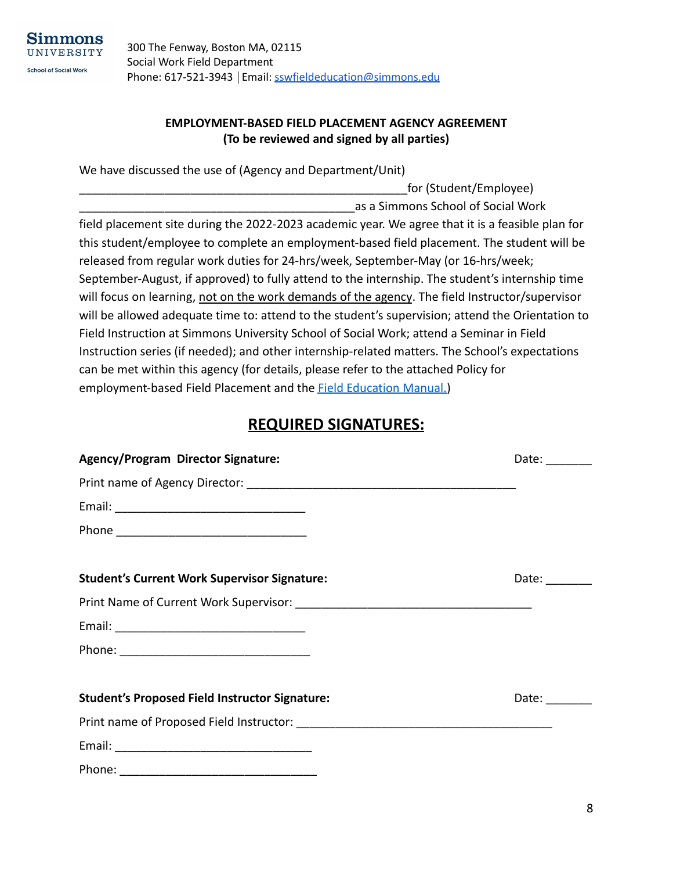

## **EMPLOYMENT-BASED FIELD PLACEMENT AGENCY AGREEMENT (To be reviewed and signed by all parties)**

for (Student/Employee)

We have discussed the use of (Agency and Department/Unit)

\_\_\_\_\_\_\_\_\_\_\_\_\_\_\_\_\_\_\_\_\_\_\_\_\_\_\_\_\_\_\_\_\_\_\_\_\_\_\_\_\_\_as a Simmons School of Social Work field placement site during the 2022-2023 academic year. We agree that it is a feasible plan for this student/employee to complete an employment-based field placement. The student will be released from regular work duties for 24-hrs/week, September-May (or 16-hrs/week; September-August, if approved) to fully attend to the internship. The student's internship time will focus on learning, not on the work demands of the agency. The field Instructor/supervisor will be allowed adequate time to: attend to the student's supervision; attend the Orientation to Field Instruction at Simmons University School of Social Work; attend a Seminar in Field Instruction series (if needed); and other internship-related matters. The School's expectations can be met within this agency (for details, please refer to the attached Policy for employment-based Field Placement and the **[Field Education](https://internal.simmons.edu/students/academics/ssw/msw-students/field-education/forms-downloads) Manual.**)

# **REQUIRED SIGNATURES:**

| <b>Agency/Program Director Signature:</b>             | Date: $\frac{1}{\sqrt{1-\frac{1}{2}}\sqrt{1-\frac{1}{2}}\sqrt{1-\frac{1}{2}}\sqrt{1-\frac{1}{2}}\sqrt{1-\frac{1}{2}}\sqrt{1-\frac{1}{2}}\sqrt{1-\frac{1}{2}}\sqrt{1-\frac{1}{2}}\sqrt{1-\frac{1}{2}}\sqrt{1-\frac{1}{2}}\sqrt{1-\frac{1}{2}}\sqrt{1-\frac{1}{2}}\sqrt{1-\frac{1}{2}}\sqrt{1-\frac{1}{2}}\sqrt{1-\frac{1}{2}}\sqrt{1-\frac{1}{2}}\sqrt{1-\frac{1}{2}}\sqrt{1-\frac{1}{2}}\sqrt{1-\frac{1}{2}}$ |
|-------------------------------------------------------|---------------------------------------------------------------------------------------------------------------------------------------------------------------------------------------------------------------------------------------------------------------------------------------------------------------------------------------------------------------------------------------------------------------|
|                                                       |                                                                                                                                                                                                                                                                                                                                                                                                               |
|                                                       |                                                                                                                                                                                                                                                                                                                                                                                                               |
|                                                       |                                                                                                                                                                                                                                                                                                                                                                                                               |
| <b>Student's Current Work Supervisor Signature:</b>   | Date: $\frac{1}{\sqrt{1-\frac{1}{2}}\cdot\frac{1}{\sqrt{1-\frac{1}{2}}}}$                                                                                                                                                                                                                                                                                                                                     |
|                                                       |                                                                                                                                                                                                                                                                                                                                                                                                               |
|                                                       |                                                                                                                                                                                                                                                                                                                                                                                                               |
|                                                       |                                                                                                                                                                                                                                                                                                                                                                                                               |
| <b>Student's Proposed Field Instructor Signature:</b> | Date:                                                                                                                                                                                                                                                                                                                                                                                                         |
|                                                       |                                                                                                                                                                                                                                                                                                                                                                                                               |
|                                                       |                                                                                                                                                                                                                                                                                                                                                                                                               |
|                                                       |                                                                                                                                                                                                                                                                                                                                                                                                               |